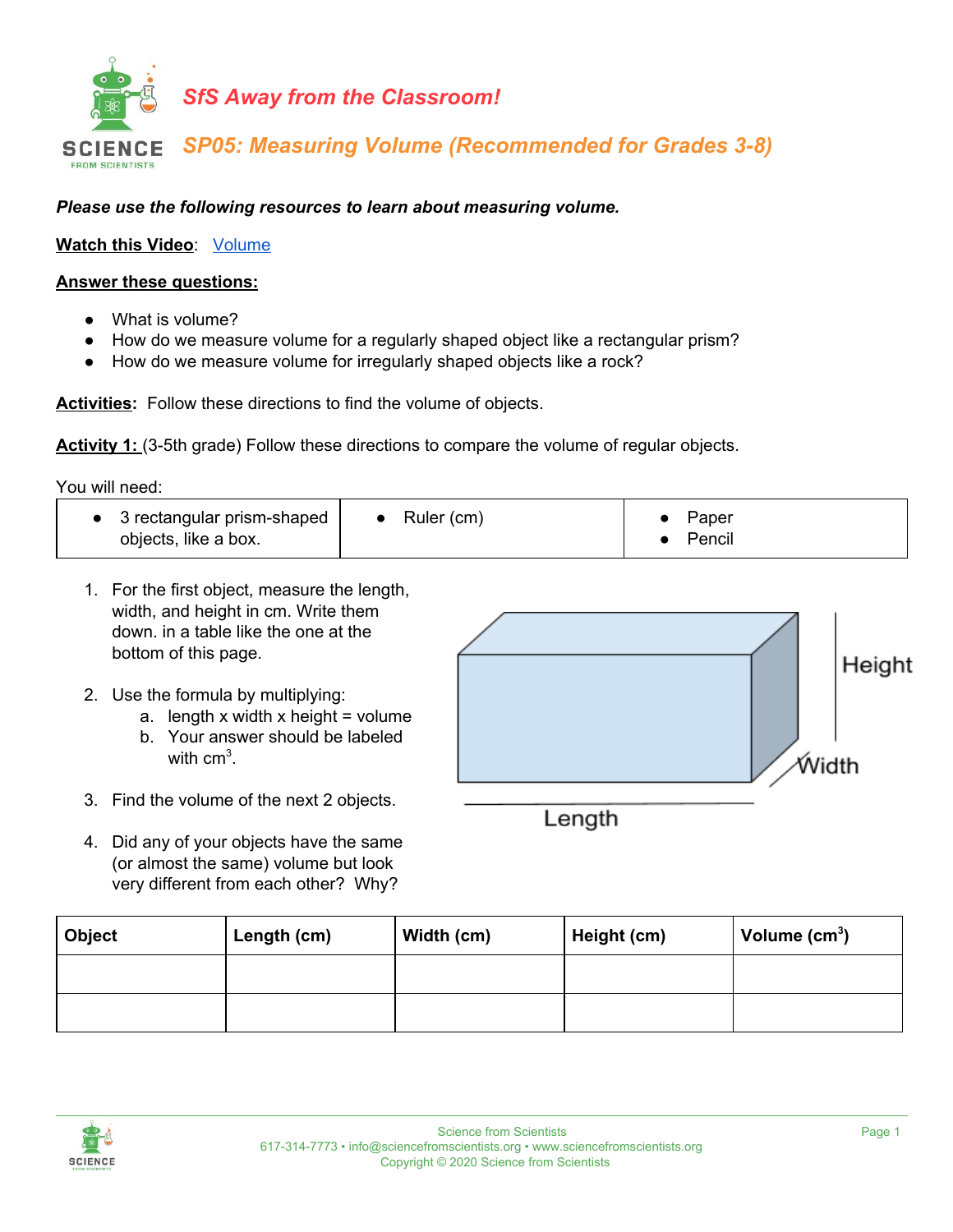

## *Please use the following resources to learn about measuring volume.*

**Watch this Video**: [Volume](https://www.youtube.com/watch?v=rOs3acfnLww)

## **Answer these questions:**

- What is volume?
- How do we measure volume for a regularly shaped object like a rectangular prism?
- How do we measure volume for irregularly shaped objects like a rock?

**Activities:** Follow these directions to find the volume of objects.

**Activity 1:** (3-5th grade) Follow these directions to compare the volume of regular objects.

You will need:

| Ruler (cm)<br>3 rectangular prism-shaped<br>objects, like a box. | Paper<br>Pencil |
|------------------------------------------------------------------|-----------------|
|------------------------------------------------------------------|-----------------|

- 1. For the first object, measure the length, width, and height in cm. Write them down. in a table like the one at the bottom of this page.
- 2. Use the formula by multiplying:
	- a. length  $x$  width  $x$  height = volume
	- b. Your answer should be labeled with cm<sup>3</sup>.
- 3. Find the volume of the next 2 objects.
- 4. Did any of your objects have the same (or almost the same) volume but look very different from each other? Why?



Length

| <b>Object</b> | Length (cm) | Width (cm) | Height (cm) | Volume $(cm3)$ |
|---------------|-------------|------------|-------------|----------------|
|               |             |            |             |                |
|               |             |            |             |                |